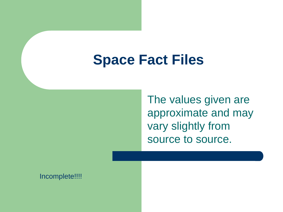#### **Space Fact Files**

The values given are approximate and may vary slightly from source to source.

Incomplete!!!!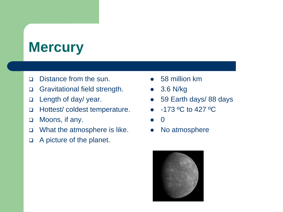# **Mercury**

- Distance from the sun.
- Gravitational field strength.
- Length of day/ year.
- Hottest/ coldest temperature.
- □ Moons, if any.
- □ What the atmosphere is like.
- A picture of the planet.
- 58 million km
- 3.6 N/kg
- 59 Earth days/ 88 days
- $\bullet$  -173 °C to 427 °C
- 0
- No atmosphere

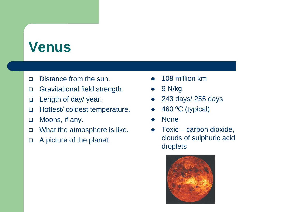## **Venus**

- Distance from the sun.
- Gravitational field strength.
- Length of day/ year.
- □ Hottest/ coldest temperature.
- □ Moons, if any.
- □ What the atmosphere is like.
- A picture of the planet.
- 108 million km
- $\bullet$  9 N/kg
- 243 days/ 255 days
- 460 °C (typical)
- None
- Toxic carbon dioxide, clouds of sulphuric acid droplets

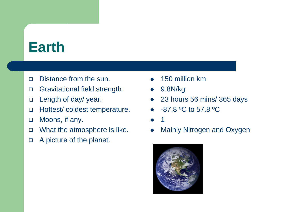### **Earth**

- Distance from the sun.
- Gravitational field strength.
- Length of day/ year.
- Hottest/ coldest temperature.
- □ Moons, if any.
- □ What the atmosphere is like.
- A picture of the planet.
- 150 million km
- 9.8N/kg
- 23 hours 56 mins/ 365 days
- -87.8 ºC to 57.8 ºC
- 1
- Mainly Nitrogen and Oxygen

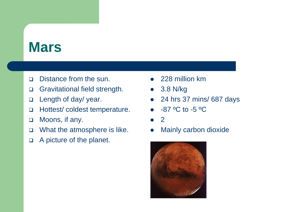#### **Mars**

- Distance from the sun.
- Gravitational field strength.
- Length of day/ year.
- Hottest/ coldest temperature.
- □ Moons, if any.
- □ What the atmosphere is like.
- A picture of the planet.
- 228 million km
- 3.8 N/kg
- 24 hrs 37 mins/ 687 days
- $-87$  °C to -5 °C
- 2
- Mainly carbon dioxide

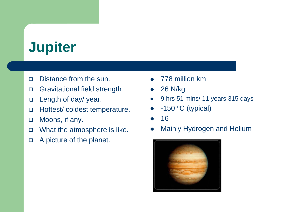# **Jupiter**

- Distance from the sun.
- Gravitational field strength.
- Length of day/ year.
- □ Hottest/ coldest temperature.
- □ Moons, if any.
- □ What the atmosphere is like.
- A picture of the planet.
- 778 million km
- 26 N/kg
- 9 hrs 51 mins/ 11 years 315 days
- $-150$  °C (typical)
- 16
- Mainly Hydrogen and Helium

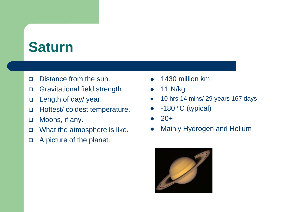## **Saturn**

- Distance from the sun.
- Gravitational field strength.
- Length of day/ year.
- Hottest/ coldest temperature.
- □ Moons, if any.
- □ What the atmosphere is like.
- A picture of the planet.
- 1430 million km
- $\bullet$  11 N/kg
- 10 hrs 14 mins/ 29 years 167 days
- $-180$  °C (typical)
- 20+
- Mainly Hydrogen and Helium

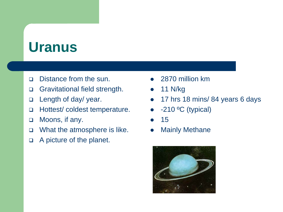### **Uranus**

- Distance from the sun.
- Gravitational field strength.
- Length of day/ year.
- Hottest/ coldest temperature.
- □ Moons, if any.
- □ What the atmosphere is like.
- A picture of the planet.
- 2870 million km
- 11 N/kg
- 17 hrs 18 mins/ 84 years 6 days
- $\bullet$  -210 °C (typical)
- 15
- Mainly Methane

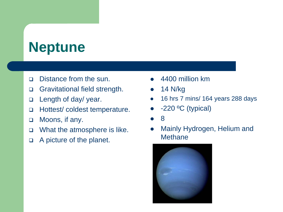# **Neptune**

- Distance from the sun.
- Gravitational field strength.
- Length of day/ year.
- □ Hottest/ coldest temperature.
- □ Moons, if any.
- □ What the atmosphere is like.
- A picture of the planet.
- 4400 million km
- 14 N/kg
- 16 hrs 7 mins/ 164 years 288 days
- -220 ºC (typical)
- 8
- Mainly Hydrogen, Helium and **Methane**